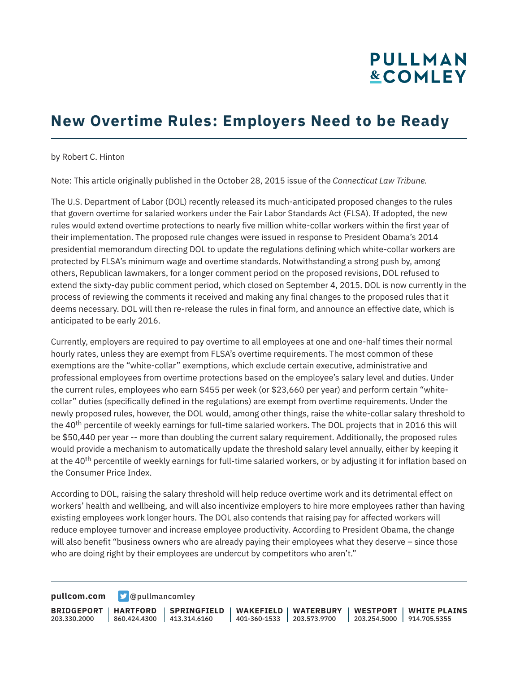## **PULLMAN &COMLEY**

### **New Overtime Rules: Employers Need to be Ready**

by Robert C. Hinton

Note: This article originally published in the October 28, 2015 issue of the *Connecticut Law Tribune.*

The U.S. Department of Labor (DOL) recently released its much-anticipated proposed changes to the rules that govern overtime for salaried workers under the Fair Labor Standards Act (FLSA). If adopted, the new rules would extend overtime protections to nearly five million white-collar workers within the first year of their implementation. The proposed rule changes were issued in response to President Obama's 2014 presidential memorandum directing DOL to update the regulations defining which white-collar workers are protected by FLSA's minimum wage and overtime standards. Notwithstanding a strong push by, among others, Republican lawmakers, for a longer comment period on the proposed revisions, DOL refused to extend the sixty-day public comment period, which closed on September 4, 2015. DOL is now currently in the process of reviewing the comments it received and making any final changes to the proposed rules that it deems necessary. DOL will then re-release the rules in final form, and announce an effective date, which is anticipated to be early 2016.

Currently, employers are required to pay overtime to all employees at one and one-half times their normal hourly rates, unless they are exempt from FLSA's overtime requirements. The most common of these exemptions are the "white-collar" exemptions, which exclude certain executive, administrative and professional employees from overtime protections based on the employee's salary level and duties. Under the current rules, employees who earn \$455 per week (or \$23,660 per year) and perform certain "whitecollar" duties (specifically defined in the regulations) are exempt from overtime requirements. Under the newly proposed rules, however, the DOL would, among other things, raise the white-collar salary threshold to the 40<sup>th</sup> percentile of weekly earnings for full-time salaried workers. The DOL projects that in 2016 this will be \$50,440 per year -- more than doubling the current salary requirement. Additionally, the proposed rules would provide a mechanism to automatically update the threshold salary level annually, either by keeping it at the 40<sup>th</sup> percentile of weekly earnings for full-time salaried workers, or by adjusting it for inflation based on the Consumer Price Index.

According to DOL, raising the salary threshold will help reduce overtime work and its detrimental effect on workers' health and wellbeing, and will also incentivize employers to hire more employees rather than having existing employees work longer hours. The DOL also contends that raising pay for affected workers will reduce employee turnover and increase employee productivity. According to President Obama, the change will also benefit "business owners who are already paying their employees what they deserve – since those who are doing right by their employees are undercut by competitors who aren't."

**[pullcom.com](https://www.pullcom.com) g** [@pullmancomley](https://twitter.com/PullmanComley)

**BRIDGEPORT** 203.330.2000

**HARTFORD**

860.424.4300 413.314.6160 **SPRINGFIELD** **WAKEFIELD WATERBURY** 401-360-1533 203.573.9700

**WESTPORT WHITE PLAINS** 203.254.5000 914.705.5355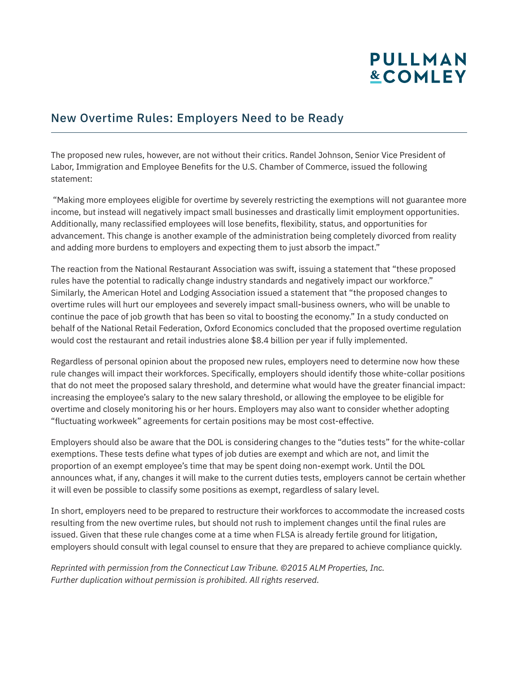# **PULLMAN &COMLEY**

#### New Overtime Rules: Employers Need to be Ready

The proposed new rules, however, are not without their critics. Randel Johnson, Senior Vice President of Labor, Immigration and Employee Benefits for the U.S. Chamber of Commerce, issued the following statement:

 "Making more employees eligible for overtime by severely restricting the exemptions will not guarantee more income, but instead will negatively impact small businesses and drastically limit employment opportunities. Additionally, many reclassified employees will lose benefits, flexibility, status, and opportunities for advancement. This change is another example of the administration being completely divorced from reality and adding more burdens to employers and expecting them to just absorb the impact."

The reaction from the National Restaurant Association was swift, issuing a statement that "these proposed rules have the potential to radically change industry standards and negatively impact our workforce." Similarly, the American Hotel and Lodging Association issued a statement that "the proposed changes to overtime rules will hurt our employees and severely impact small-business owners, who will be unable to continue the pace of job growth that has been so vital to boosting the economy." In a study conducted on behalf of the National Retail Federation, Oxford Economics concluded that the proposed overtime regulation would cost the restaurant and retail industries alone \$8.4 billion per year if fully implemented.

Regardless of personal opinion about the proposed new rules, employers need to determine now how these rule changes will impact their workforces. Specifically, employers should identify those white-collar positions that do not meet the proposed salary threshold, and determine what would have the greater financial impact: increasing the employee's salary to the new salary threshold, or allowing the employee to be eligible for overtime and closely monitoring his or her hours. Employers may also want to consider whether adopting "fluctuating workweek" agreements for certain positions may be most cost-effective.

Employers should also be aware that the DOL is considering changes to the "duties tests" for the white-collar exemptions. These tests define what types of job duties are exempt and which are not, and limit the proportion of an exempt employee's time that may be spent doing non-exempt work. Until the DOL announces what, if any, changes it will make to the current duties tests, employers cannot be certain whether it will even be possible to classify some positions as exempt, regardless of salary level.

In short, employers need to be prepared to restructure their workforces to accommodate the increased costs resulting from the new overtime rules, but should not rush to implement changes until the final rules are issued. Given that these rule changes come at a time when FLSA is already fertile ground for litigation, employers should consult with legal counsel to ensure that they are prepared to achieve compliance quickly.

*Reprinted with permission from the Connecticut Law Tribune. ©2015 ALM Properties, Inc. Further duplication without permission is prohibited. All rights reserved.*